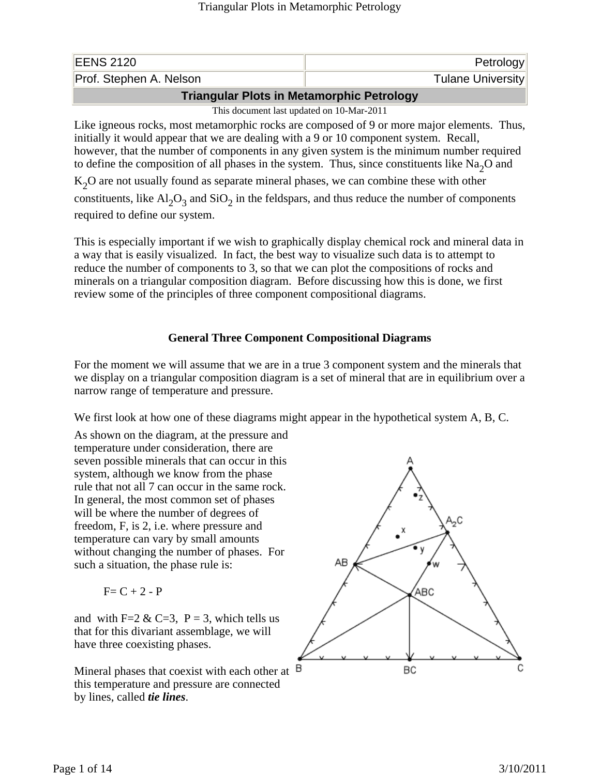| <b>EENS 2120</b>                                         | Petrology                |
|----------------------------------------------------------|--------------------------|
| Prof. Stephen A. Nelson                                  | <b>Tulane University</b> |
| The community of the Linux Moderns and the Bridge beams. |                          |

**Triangular Plots in Metamorphic Petrology**

This document last updated on 10-Mar-2011

Like igneous rocks, most metamorphic rocks are composed of 9 or more major elements. Thus, initially it would appear that we are dealing with a 9 or 10 component system. Recall, however, that the number of components in any given system is the minimum number required to define the composition of all phases in the system. Thus, since constituents like  $Na<sub>2</sub>O$  and

 $K<sub>2</sub>O$  are not usually found as separate mineral phases, we can combine these with other

constituents, like  $Al_2O_3$  and  $SiO_2$  in the feldspars, and thus reduce the number of components required to define our system.

This is especially important if we wish to graphically display chemical rock and mineral data in a way that is easily visualized. In fact, the best way to visualize such data is to attempt to reduce the number of components to 3, so that we can plot the compositions of rocks and minerals on a triangular composition diagram. Before discussing how this is done, we first review some of the principles of three component compositional diagrams.

# **General Three Component Compositional Diagrams**

For the moment we will assume that we are in a true 3 component system and the minerals that we display on a triangular composition diagram is a set of mineral that are in equilibrium over a narrow range of temperature and pressure.

We first look at how one of these diagrams might appear in the hypothetical system A, B, C.

As shown on the diagram, at the pressure and temperature under consideration, there are seven possible minerals that can occur in this system, although we know from the phase rule that not all 7 can occur in the same rock. In general, the most common set of phases will be where the number of degrees of freedom, F, is 2, i.e. where pressure and temperature can vary by small amounts without changing the number of phases. For such a situation, the phase rule is:

$$
F = C + 2 - P
$$

and with F=2 & C=3, P = 3, which tells us that for this divariant assemblage, we will have three coexisting phases.

Mineral phases that coexist with each other at  $\overline{B}$ this temperature and pressure are connected by lines, called *tie lines*.

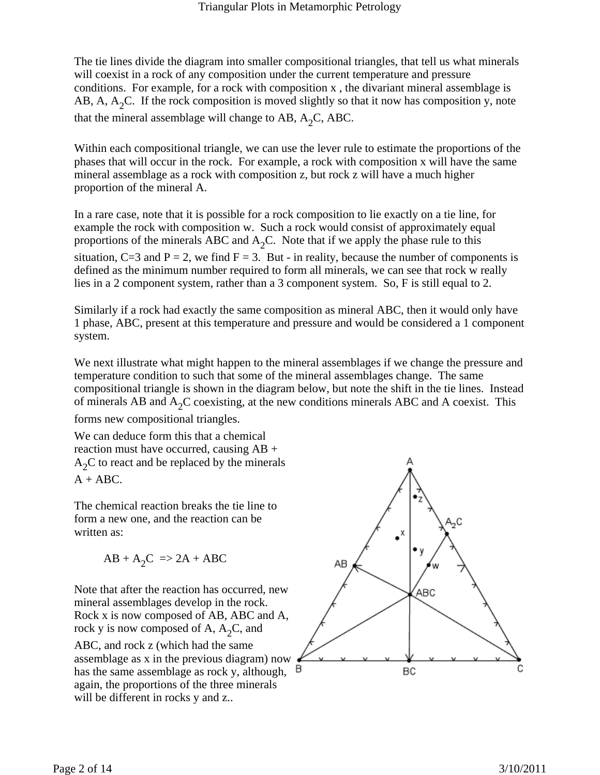The tie lines divide the diagram into smaller compositional triangles, that tell us what minerals will coexist in a rock of any composition under the current temperature and pressure conditions. For example, for a rock with composition x , the divariant mineral assemblage is AB, A,  $A_2C$ . If the rock composition is moved slightly so that it now has composition y, note that the mineral assemblage will change to AB,  $A_2C$ , ABC.

Within each compositional triangle, we can use the lever rule to estimate the proportions of the phases that will occur in the rock. For example, a rock with composition x will have the same mineral assemblage as a rock with composition z, but rock z will have a much higher proportion of the mineral A.

In a rare case, note that it is possible for a rock composition to lie exactly on a tie line, for example the rock with composition w. Such a rock would consist of approximately equal proportions of the minerals ABC and  $A_2C$ . Note that if we apply the phase rule to this situation, C=3 and P = 2, we find F = 3. But - in reality, because the number of components is defined as the minimum number required to form all minerals, we can see that rock w really lies in a 2 component system, rather than a 3 component system. So, F is still equal to 2.

Similarly if a rock had exactly the same composition as mineral ABC, then it would only have 1 phase, ABC, present at this temperature and pressure and would be considered a 1 component system.

We next illustrate what might happen to the mineral assemblages if we change the pressure and temperature condition to such that some of the mineral assemblages change. The same compositional triangle is shown in the diagram below, but note the shift in the tie lines. Instead of minerals AB and  $A_2C$  coexisting, at the new conditions minerals ABC and A coexist. This

forms new compositional triangles.

We can deduce form this that a chemical reaction must have occurred, causing AB +  $A<sub>2</sub>C$  to react and be replaced by the minerals  $A + ABC$ .

The chemical reaction breaks the tie line to form a new one, and the reaction can be written as:

$$
AB + A_2C \implies 2A + ABC
$$

Note that after the reaction has occurred, new mineral assemblages develop in the rock. Rock x is now composed of AB, ABC and A, rock y is now composed of A,  $A_2C$ , and

ABC, and rock z (which had the same assemblage as x in the previous diagram) now has the same assemblage as rock y, although, again, the proportions of the three minerals will be different in rocks y and z...

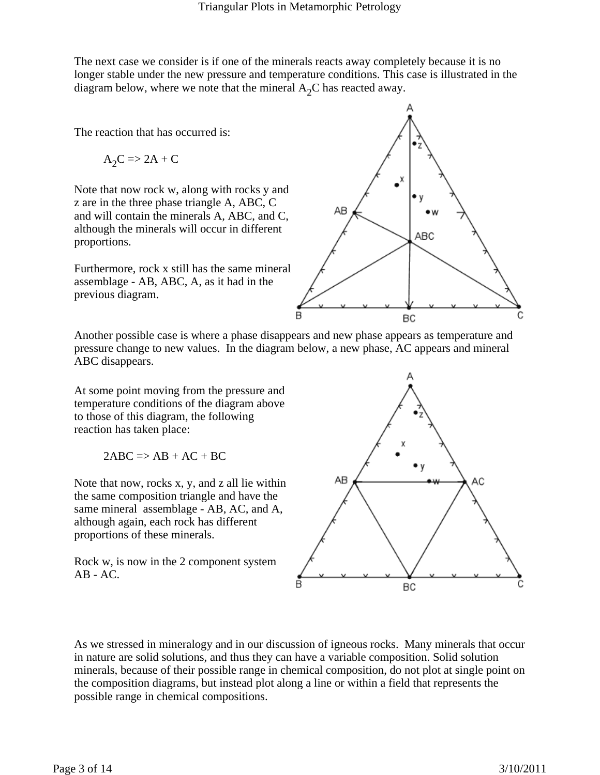The next case we consider is if one of the minerals reacts away completely because it is no longer stable under the new pressure and temperature conditions. This case is illustrated in the diagram below, where we note that the mineral  $A_2C$  has reacted away.

The reaction that has occurred is:

$$
A_2C => 2A + C
$$

Note that now rock w, along with rocks y and z are in the three phase triangle A, ABC, C and will contain the minerals A, ABC, and C, although the minerals will occur in different proportions.

Furthermore, rock x still has the same mineral assemblage - AB, ABC, A, as it had in the previous diagram.



Another possible case is where a phase disappears and new phase appears as temperature and pressure change to new values. In the diagram below, a new phase, AC appears and mineral ABC disappears.

At some point moving from the pressure and temperature conditions of the diagram above to those of this diagram, the following reaction has taken place:

$$
2ABC \Rightarrow AB + AC + BC
$$

Note that now, rocks x, y, and z all lie within the same composition triangle and have the same mineral assemblage - AB, AC, and A, although again, each rock has different proportions of these minerals.

Rock w, is now in the 2 component system  $AB - AC$ .



As we stressed in mineralogy and in our discussion of igneous rocks. Many minerals that occur in nature are solid solutions, and thus they can have a variable composition. Solid solution minerals, because of their possible range in chemical composition, do not plot at single point on the composition diagrams, but instead plot along a line or within a field that represents the possible range in chemical compositions.

B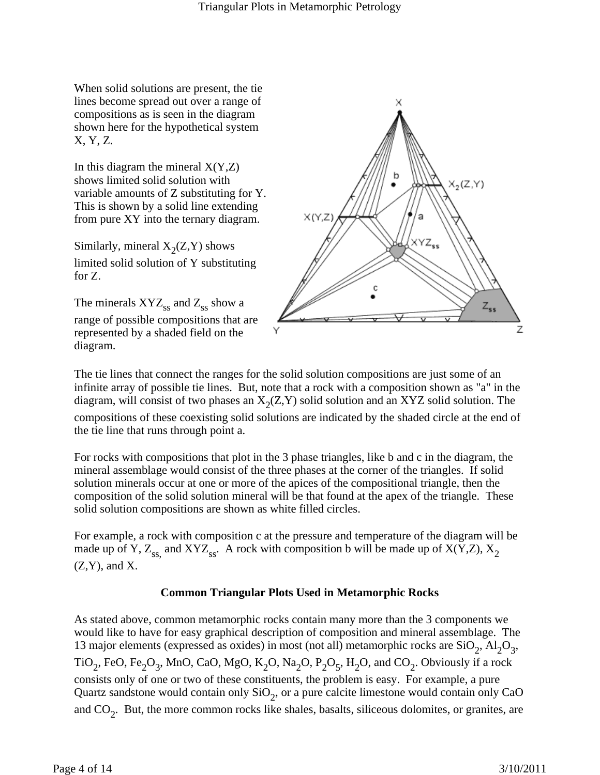When solid solutions are present, the tie lines become spread out over a range of compositions as is seen in the diagram shown here for the hypothetical system X, Y, Z.

In this diagram the mineral  $X(Y,Z)$ shows limited solid solution with variable amounts of Z substituting for Y. This is shown by a solid line extending from pure XY into the ternary diagram.

Similarly, mineral  $X_2(Z, Y)$  shows limited solid solution of Y substituting for Z.

The minerals  $XYZ_{ss}$  and  $Z_{ss}$  show a range of possible compositions that are represented by a shaded field on the diagram.



The tie lines that connect the ranges for the solid solution compositions are just some of an infinite array of possible tie lines. But, note that a rock with a composition shown as "a" in the diagram, will consist of two phases an  $X_2(Z, Y)$  solid solution and an XYZ solid solution. The compositions of these coexisting solid solutions are indicated by the shaded circle at the end of the tie line that runs through point a.

For rocks with compositions that plot in the 3 phase triangles, like b and c in the diagram, the mineral assemblage would consist of the three phases at the corner of the triangles. If solid solution minerals occur at one or more of the apices of the compositional triangle, then the composition of the solid solution mineral will be that found at the apex of the triangle. These solid solution compositions are shown as white filled circles.

For example, a rock with composition c at the pressure and temperature of the diagram will be made up of Y,  $Z_{ss}$ , and XYZ<sub>ss</sub>. A rock with composition b will be made up of X(Y,Z), X<sub>2</sub>  $(Z, Y)$ , and  $X$ .

# **Common Triangular Plots Used in Metamorphic Rocks**

As stated above, common metamorphic rocks contain many more than the 3 components we would like to have for easy graphical description of composition and mineral assemblage. The 13 major elements (expressed as oxides) in most (not all) metamorphic rocks are  $SiO_2$ ,  $Al_2O_3$ , TiO<sub>2</sub>, FeO, Fe<sub>2</sub>O<sub>3</sub>, MnO, CaO, MgO, K<sub>2</sub>O, Na<sub>2</sub>O, P<sub>2</sub>O<sub>5</sub>, H<sub>2</sub>O, and CO<sub>2</sub>. Obviously if a rock consists only of one or two of these constituents, the problem is easy. For example, a pure Quartz sandstone would contain only  $SiO<sub>2</sub>$ , or a pure calcite limestone would contain only CaO and  $CO<sub>2</sub>$ . But, the more common rocks like shales, basalts, siliceous dolomites, or granites, are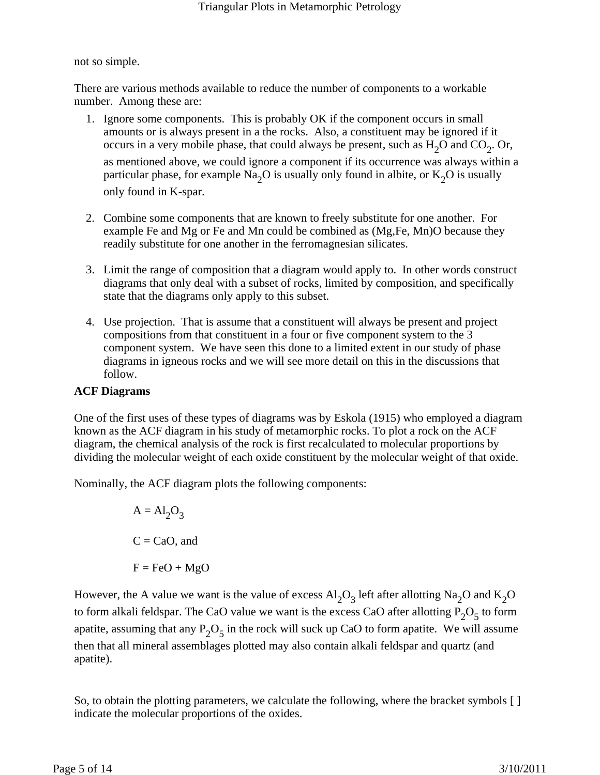not so simple.

There are various methods available to reduce the number of components to a workable number. Among these are:

- 1. Ignore some components. This is probably OK if the component occurs in small amounts or is always present in a the rocks. Also, a constituent may be ignored if it occurs in a very mobile phase, that could always be present, such as  $H_2O$  and  $CO_2$ . Or, as mentioned above, we could ignore a component if its occurrence was always within a particular phase, for example Na<sub>2</sub>O is usually only found in albite, or  $K_2O$  is usually only found in K-spar.
- 2. Combine some components that are known to freely substitute for one another. For example Fe and Mg or Fe and Mn could be combined as (Mg,Fe, Mn)O because they readily substitute for one another in the ferromagnesian silicates.
- 3. Limit the range of composition that a diagram would apply to. In other words construct diagrams that only deal with a subset of rocks, limited by composition, and specifically state that the diagrams only apply to this subset.
- 4. Use projection. That is assume that a constituent will always be present and project compositions from that constituent in a four or five component system to the 3 component system. We have seen this done to a limited extent in our study of phase diagrams in igneous rocks and we will see more detail on this in the discussions that follow.

# **ACF Diagrams**

One of the first uses of these types of diagrams was by Eskola (1915) who employed a diagram known as the ACF diagram in his study of metamorphic rocks. To plot a rock on the ACF diagram, the chemical analysis of the rock is first recalculated to molecular proportions by dividing the molecular weight of each oxide constituent by the molecular weight of that oxide.

Nominally, the ACF diagram plots the following components:

$$
A = Al2O3
$$
  
C = CaO, and  
F = FeO + MgO

However, the A value we want is the value of excess  $Al_2O_3$  left after allotting Na<sub>2</sub>O and K<sub>2</sub>O to form alkali feldspar. The CaO value we want is the excess CaO after allotting  $P_2O_5$  to form apatite, assuming that any  $P_2O_5$  in the rock will suck up CaO to form apatite. We will assume then that all mineral assemblages plotted may also contain alkali feldspar and quartz (and apatite).

So, to obtain the plotting parameters, we calculate the following, where the bracket symbols [ ] indicate the molecular proportions of the oxides.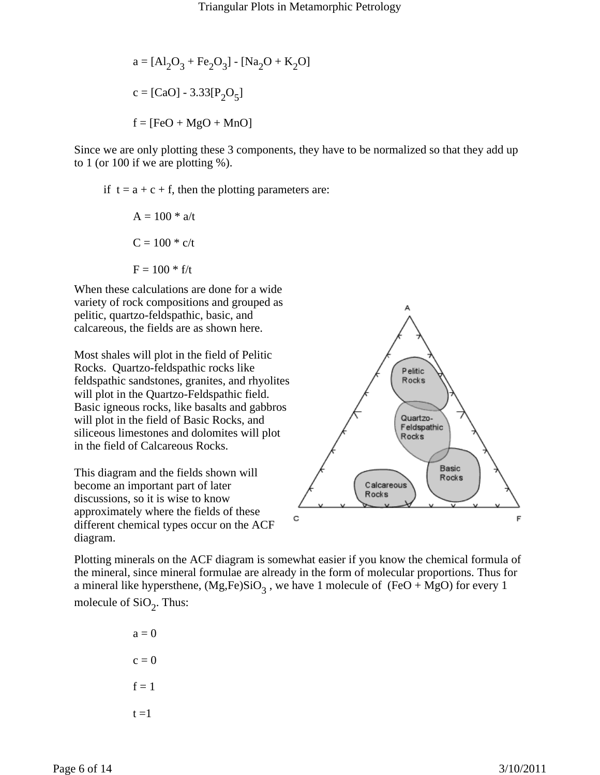a = 
$$
[Al_2O_3 + Fe_2O_3]
$$
 -  $[Na_2O + K_2O]$   
c =  $[CaO]$  - 3.33 $[P_2O_5]$   
f =  $[FeO + MgO + MnO]$ 

Since we are only plotting these 3 components, they have to be normalized so that they add up to 1 (or 100 if we are plotting %).

if  $t = a + c + f$ , then the plotting parameters are:

$$
A = 100 * a/t
$$

$$
C = 100 * c/t
$$

$$
F = 100 * f/t
$$

When these calculations are done for a wide variety of rock compositions and grouped as pelitic, quartzo-feldspathic, basic, and calcareous, the fields are as shown here.

Most shales will plot in the field of Pelitic Rocks. Quartzo-feldspathic rocks like feldspathic sandstones, granites, and rhyolites will plot in the Quartzo-Feldspathic field. Basic igneous rocks, like basalts and gabbros will plot in the field of Basic Rocks, and siliceous limestones and dolomites will plot in the field of Calcareous Rocks.

This diagram and the fields shown will become an important part of later discussions, so it is wise to know approximately where the fields of these different chemical types occur on the ACF diagram.



Plotting minerals on the ACF diagram is somewhat easier if you know the chemical formula of the mineral, since mineral formulae are already in the form of molecular proportions. Thus for a mineral like hypersthene,  $(Mg,Fe)SiO<sub>3</sub>$ , we have 1 molecule of  $(FeO + MgO)$  for every 1 molecule of  $SiO<sub>2</sub>$ . Thus:

> $a = 0$  $c = 0$  $f = 1$  $t = 1$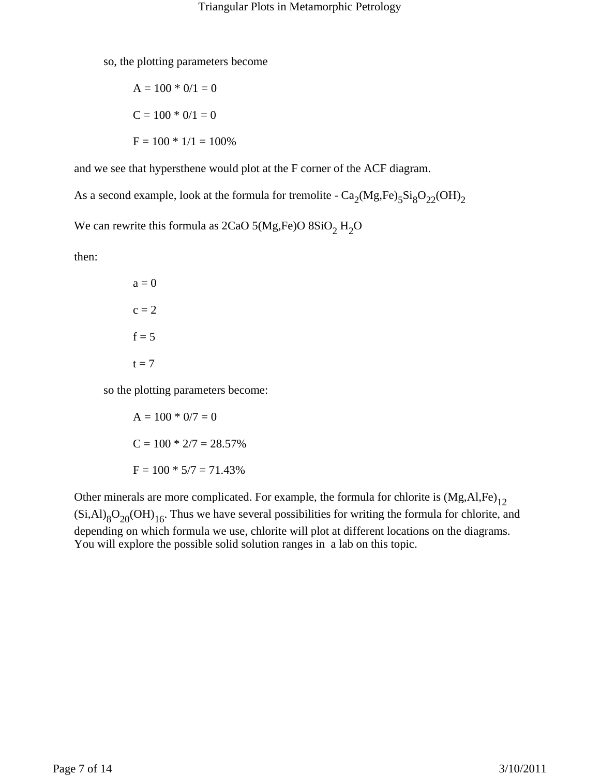so, the plotting parameters become

$$
A = 100 * 0/1 = 0
$$
  

$$
C = 100 * 0/1 = 0
$$
  

$$
F = 100 * 1/1 = 100\%
$$

and we see that hypersthene would plot at the F corner of the ACF diagram.

As a second example, look at the formula for tremolite -  $Ca_2(Mg,Fe)_5Si_8O_{22}(OH)_2$ 

We can rewrite this formula as  $2CaO$  5(Mg,Fe)O  $8SiO<sub>2</sub> H<sub>2</sub>O$ 

then:

 $a = 0$  $c = 2$  $f = 5$  $t = 7$ 

so the plotting parameters become:

$$
A = 100 * 0/7 = 0
$$
  
\n
$$
C = 100 * 2/7 = 28.57\%
$$
  
\n
$$
F = 100 * 5/7 = 71.43\%
$$

Other minerals are more complicated. For example, the formula for chlorite is  $(Mg, AI, Fe)_{12}$  $(Si, Al)_{8}O_{20}(OH)_{16}$ . Thus we have several possibilities for writing the formula for chlorite, and depending on which formula we use, chlorite will plot at different locations on the diagrams. You will explore the possible solid solution ranges in a lab on this topic.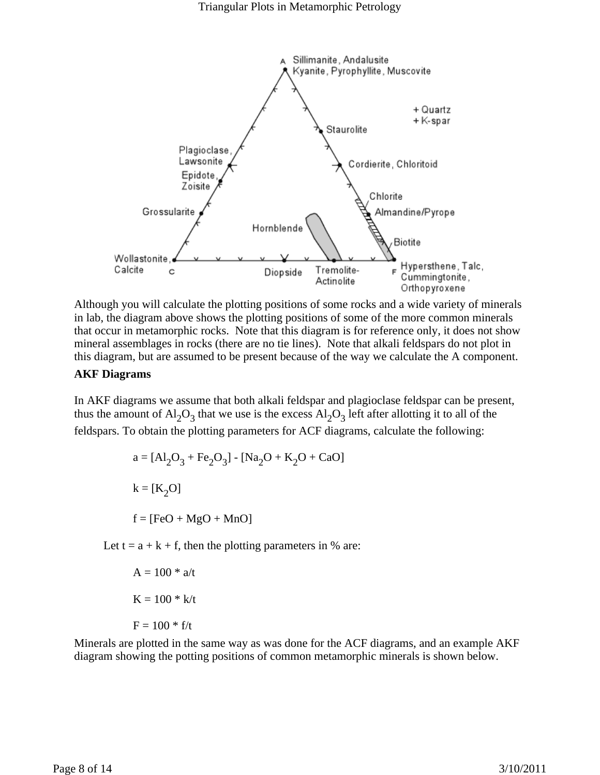

Although you will calculate the plotting positions of some rocks and a wide variety of minerals in lab, the diagram above shows the plotting positions of some of the more common minerals that occur in metamorphic rocks. Note that this diagram is for reference only, it does not show mineral assemblages in rocks (there are no tie lines). Note that alkali feldspars do not plot in this diagram, but are assumed to be present because of the way we calculate the A component.

#### **AKF Diagrams**

In AKF diagrams we assume that both alkali feldspar and plagioclase feldspar can be present, thus the amount of  $Al_2O_3$  that we use is the excess  $Al_2O_3$  left after allotting it to all of the feldspars. To obtain the plotting parameters for ACF diagrams, calculate the following:

$$
a = [Al_2O_3 + Fe_2O_3] - [Na_2O + K_2O + CaO]
$$
  
\n
$$
k = [K_2O]
$$
  
\n
$$
f = [FeO + MgO + MnO]
$$

Let  $t = a + k + f$ , then the plotting parameters in % are:

$$
A = 100 * a/t
$$

$$
K = 100 * k/t
$$

$$
F = 100 * f/t
$$

Minerals are plotted in the same way as was done for the ACF diagrams, and an example AKF diagram showing the potting positions of common metamorphic minerals is shown below.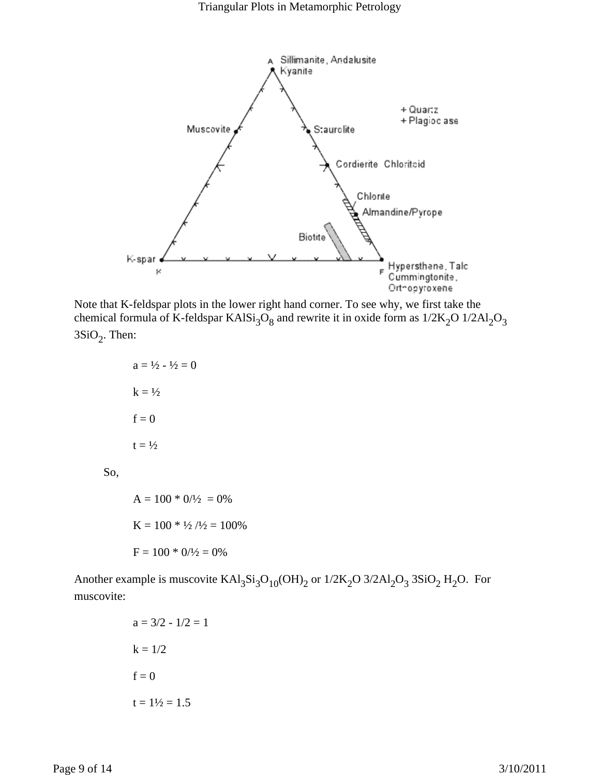

Note that K-feldspar plots in the lower right hand corner. To see why, we first take the chemical formula of K-feldspar KAl $Si<sub>3</sub>O<sub>8</sub>$  and rewrite it in oxide form as  $1/2K<sub>2</sub>O$   $1/2Al<sub>2</sub>O<sub>3</sub>$  $3SiO<sub>2</sub>$ . Then:

$$
a = \frac{1}{2} - \frac{1}{2} = 0
$$

$$
k = \frac{1}{2}
$$

$$
f = 0
$$

$$
t = \frac{1}{2}
$$

So,

 $A = 100 * 0/1/2 = 0%$  $K = 100 * 1/2 / 1/2 = 100\%$  $F = 100 * 0/1/2 = 0%$ 

Another example is muscovite  $KAI_3Si_3O_{10}(OH)_2$  or  $1/2K_2O$   $3/2Al_2O_3$   $3SiO_2H_2O$ . For muscovite:

$$
a = 3/2 - 1/2 = 1
$$
  

$$
k = 1/2
$$
  

$$
f = 0
$$
  

$$
t = 1\frac{1}{2} = 1.5
$$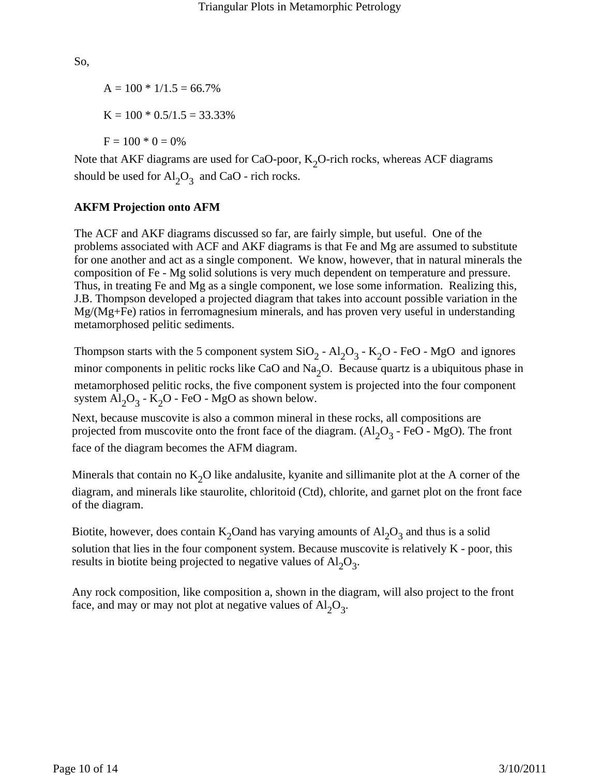So,

 $A = 100 * 1/1.5 = 66.7%$  $K = 100 * 0.5/1.5 = 33.33\%$  $F = 100 * 0 = 0\%$ 

Note that AKF diagrams are used for CaO-poor,  $K_2O$ -rich rocks, whereas ACF diagrams should be used for  $\text{Al}_2\text{O}_3$  and CaO - rich rocks.

## **AKFM Projection onto AFM**

The ACF and AKF diagrams discussed so far, are fairly simple, but useful. One of the problems associated with ACF and AKF diagrams is that Fe and Mg are assumed to substitute for one another and act as a single component. We know, however, that in natural minerals the composition of Fe - Mg solid solutions is very much dependent on temperature and pressure. Thus, in treating Fe and Mg as a single component, we lose some information. Realizing this, J.B. Thompson developed a projected diagram that takes into account possible variation in the Mg/(Mg+Fe) ratios in ferromagnesium minerals, and has proven very useful in understanding metamorphosed pelitic sediments.

Thompson starts with the 5 component system  $SiO_2$  -  $Al_2O_3$  -  $K_2O$  - FeO - MgO and ignores minor components in pelitic rocks like CaO and Na<sub>2</sub>O. Because quartz is a ubiquitous phase in metamorphosed pelitic rocks, the five component system is projected into the four component system  $Al_2O_3$  - K<sub>2</sub>O - FeO - MgO as shown below.

Next, because muscovite is also a common mineral in these rocks, all compositions are projected from muscovite onto the front face of the diagram.  $(Al_2O_3 - FeO - MgO)$ . The front face of the diagram becomes the AFM diagram.

Minerals that contain no  $K_2O$  like andalusite, kyanite and sillimanite plot at the A corner of the diagram, and minerals like staurolite, chloritoid (Ctd), chlorite, and garnet plot on the front face of the diagram.

Biotite, however, does contain K<sub>2</sub>Oand has varying amounts of  $Al_2O_3$  and thus is a solid solution that lies in the four component system. Because muscovite is relatively K - poor, this results in biotite being projected to negative values of  $\text{Al}_2\text{O}_3$ .

Any rock composition, like composition a, shown in the diagram, will also project to the front face, and may or may not plot at negative values of  $Al_2O_3$ .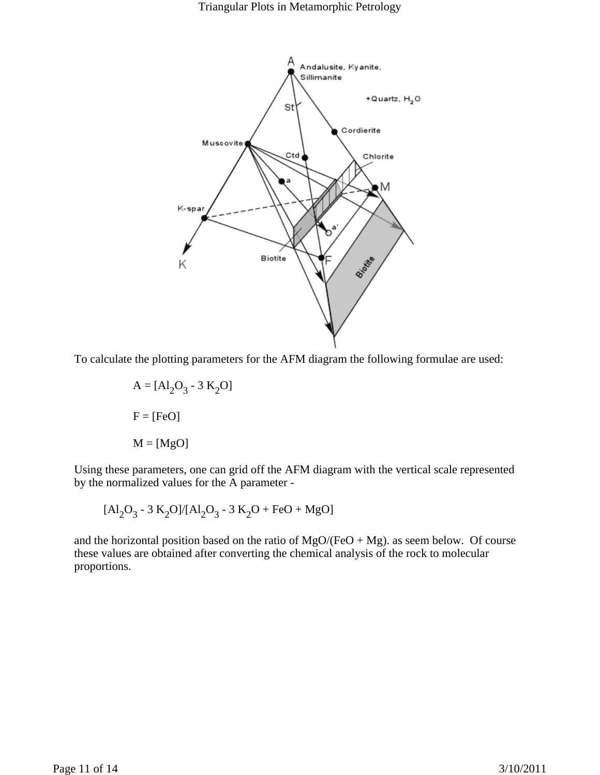Triangular Plots in Metamorphic Petrology



To calculate the plotting parameters for the AFM diagram the following formulae are used:

$$
A = [Al2O3 - 3 K2O]
$$

$$
F = [FeO]
$$

$$
M = [MgO]
$$

Using these parameters, one can grid off the AFM diagram with the vertical scale represented by the normalized values for the A parameter -

$$
[Al_2O_3 - 3 K_2O]/[Al_2O_3 - 3 K_2O + FeO + MgO]
$$

and the horizontal position based on the ratio of  $MgO/(FeO + Mg)$ . as seem below. Of course these values are obtained after converting the chemical analysis of the rock to molecular proportions.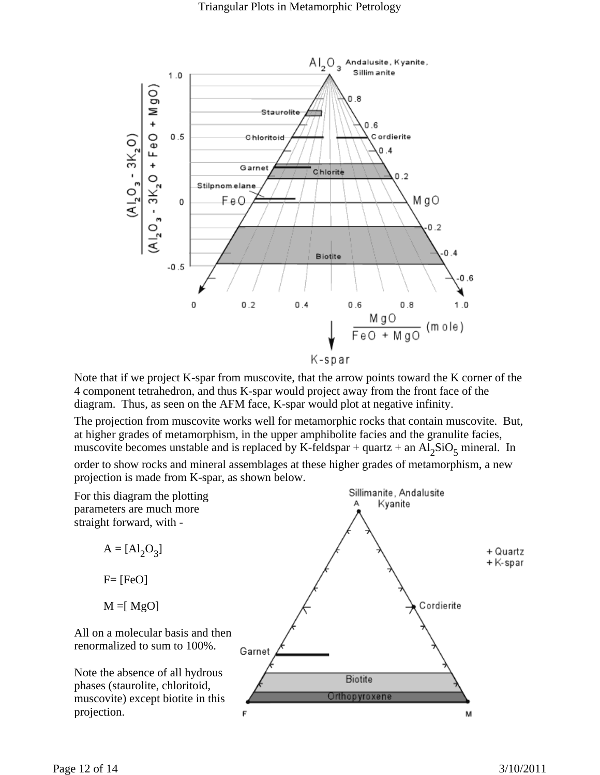

Note that if we project K-spar from muscovite, that the arrow points toward the K corner of the 4 component tetrahedron, and thus K-spar would project away from the front face of the diagram. Thus, as seen on the AFM face, K-spar would plot at negative infinity.

The projection from muscovite works well for metamorphic rocks that contain muscovite. But, at higher grades of metamorphism, in the upper amphibolite facies and the granulite facies, muscovite becomes unstable and is replaced by K-feldspar + quartz + an  $Al_2SiO_5$  mineral. In

order to show rocks and mineral assemblages at these higher grades of metamorphism, a new projection is made from K-spar, as shown below.

For this diagram the plotting parameters are much more straight forward, with -

> $A = [Al_2O_3]$  $F=[FeO]$

$$
M = [MgO]
$$

All on a molecular basis and then renormalized to sum to 100%.

Note the absence of all hydrous phases (staurolite, chloritoid, muscovite) except biotite in this projection.



Sillimanite, Andalusite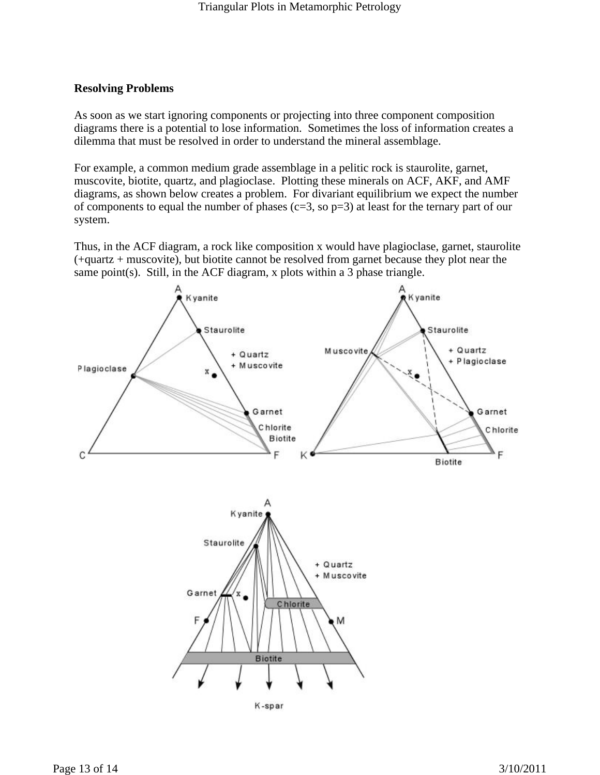### **Resolving Problems**

As soon as we start ignoring components or projecting into three component composition diagrams there is a potential to lose information. Sometimes the loss of information creates a dilemma that must be resolved in order to understand the mineral assemblage.

For example, a common medium grade assemblage in a pelitic rock is staurolite, garnet, muscovite, biotite, quartz, and plagioclase. Plotting these minerals on ACF, AKF, and AMF diagrams, as shown below creates a problem. For divariant equilibrium we expect the number of components to equal the number of phases (c=3, so  $p=3$ ) at least for the ternary part of our system.

Thus, in the ACF diagram, a rock like composition x would have plagioclase, garnet, staurolite (+quartz + muscovite), but biotite cannot be resolved from garnet because they plot near the same point(s). Still, in the ACF diagram, x plots within a 3 phase triangle.